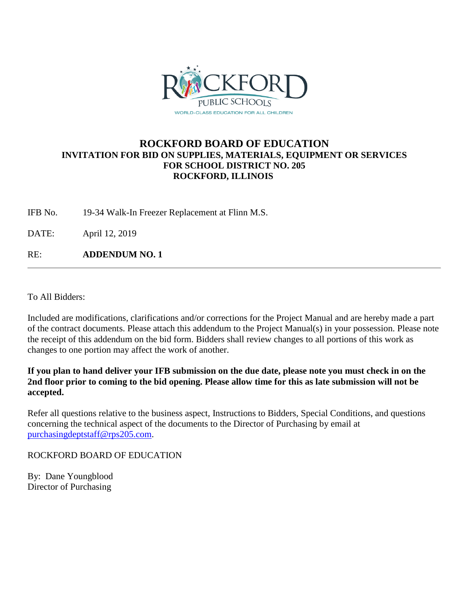

## **ROCKFORD BOARD OF EDUCATION INVITATION FOR BID ON SUPPLIES, MATERIALS, EQUIPMENT OR SERVICES FOR SCHOOL DISTRICT NO. 205 ROCKFORD, ILLINOIS**

IFB No. 19-34 Walk-In Freezer Replacement at Flinn M.S.

DATE: April 12, 2019

RE: **ADDENDUM NO. 1**

To All Bidders:

Included are modifications, clarifications and/or corrections for the Project Manual and are hereby made a part of the contract documents. Please attach this addendum to the Project Manual(s) in your possession. Please note the receipt of this addendum on the bid form. Bidders shall review changes to all portions of this work as changes to one portion may affect the work of another.

**If you plan to hand deliver your IFB submission on the due date, please note you must check in on the 2nd floor prior to coming to the bid opening. Please allow time for this as late submission will not be accepted.**

Refer all questions relative to the business aspect, Instructions to Bidders, Special Conditions, and questions concerning the technical aspect of the documents to the Director of Purchasing by email at [purchasingdeptstaff@rps205.com.](mailto:purchasingdeptstaff@rps205.com)

ROCKFORD BOARD OF EDUCATION

By: Dane Youngblood Director of Purchasing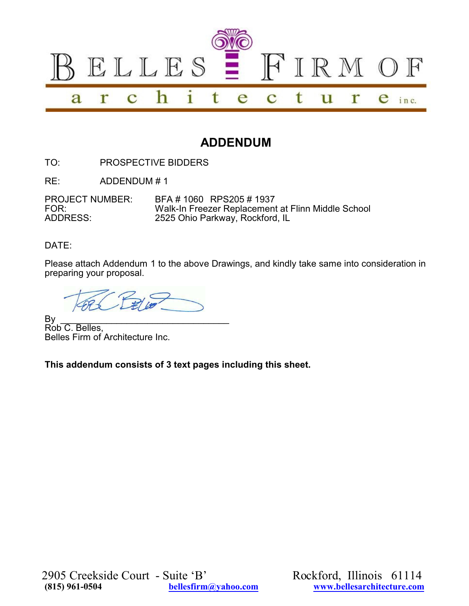

# **ADDENDUM**

TO: PROSPECTIVE BIDDERS

RE: ADDENDUM # 1

PROJECT NUMBER: BFA # 1060 RPS205 # 1937<br>FOR: Walk-In Freezer Replacemen FOR: Walk-In Freezer Replacement at Flinn Middle School<br>ADDRESS: 2525 Ohio Parkway, Rockford, IL 2525 Ohio Parkway, Rockford, IL

DATE:

Please attach Addendum 1 to the above Drawings, and kindly take same into consideration in preparing your proposal.

By \_\_\_\_\_\_\_\_\_\_\_\_\_\_\_\_\_\_\_\_\_\_\_\_\_\_\_\_\_\_\_\_\_ Rob C. Belles, Belles Firm of Architecture Inc.

**This addendum consists of 3 text pages including this sheet.**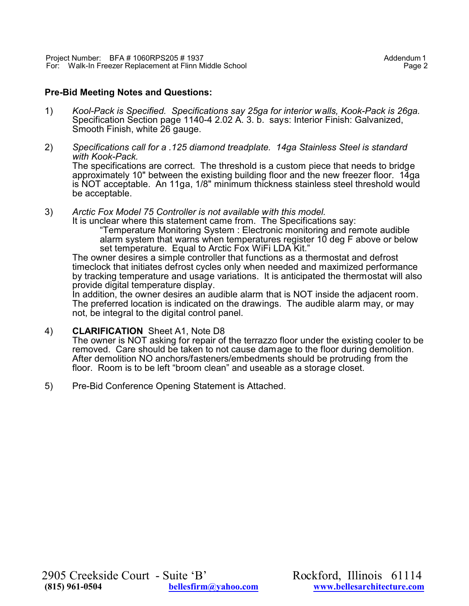### **Pre-Bid Meeting Notes and Questions:**

- 1) *Kool-Pack is Specified. Specifications say 25ga for interior walls, Kook-Pack is 26ga.* Specification Section page 1140-4 2.02 A. 3. b. says: Interior Finish: Galvanized, Smooth Finish, white 26 gauge.
- 2) *Specifications call for a .125 diamond treadplate. 14ga Stainless Steel is standard with Kook-Pack.* The specifications are correct. The threshold is a custom piece that needs to bridge approximately 10" between the existing building floor and the new freezer floor. 14ga is NOT acceptable. An 11ga, 1/8" minimum thickness stainless steel threshold would be acceptable.
- 3) *Arctic Fox Model 75 Controller is not available with this model.*
	- It is unclear where this statement came from. The Specifications say: "Temperature Monitoring System : Electronic monitoring and remote audible alarm system that warns when temperatures register 10 deg F above or below set temperature. Equal to Arctic Fox WiFi LDA Kit."

The owner desires a simple controller that functions as a thermostat and defrost timeclock that initiates defrost cycles only when needed and maximized performance by tracking temperature and usage variations. It is anticipated the thermostat will also provide digital temperature display.

In addition, the owner desires an audible alarm that is NOT inside the adjacent room. The preferred location is indicated on the drawings. The audible alarm may, or may not, be integral to the digital control panel.

4) **CLARIFICATION** Sheet A1, Note D8

The owner is NOT asking for repair of the terrazzo floor under the existing cooler to be removed. Care should be taken to not cause damage to the floor during demolition. After demolition NO anchors/fasteners/embedments should be protruding from the floor. Room is to be left "broom clean" and useable as a storage closet.

5) Pre-Bid Conference Opening Statement is Attached.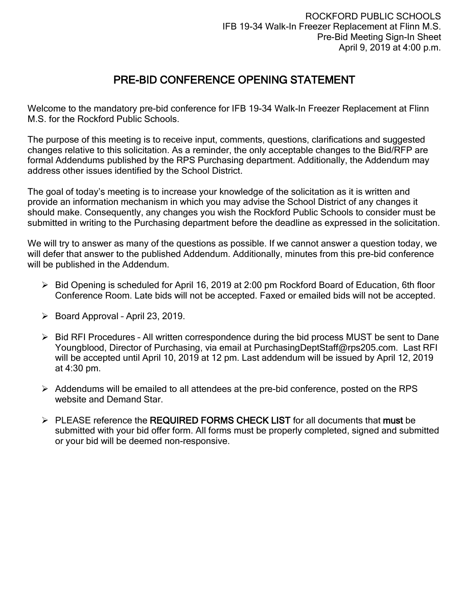## PRE-BID CONFERENCE OPENING STATEMENT

Welcome to the mandatory pre-bid conference for IFB 19-34 Walk-In Freezer Replacement at Flinn M.S. for the Rockford Public Schools.

The purpose of this meeting is to receive input, comments, questions, clarifications and suggested changes relative to this solicitation. As a reminder, the only acceptable changes to the Bid/RFP are formal Addendums published by the RPS Purchasing department. Additionally, the Addendum may address other issues identified by the School District.

The goal of today's meeting is to increase your knowledge of the solicitation as it is written and provide an information mechanism in which you may advise the School District of any changes it should make. Consequently, any changes you wish the Rockford Public Schools to consider must be submitted in writing to the Purchasing department before the deadline as expressed in the solicitation.

We will try to answer as many of the questions as possible. If we cannot answer a question today, we will defer that answer to the published Addendum. Additionally, minutes from this pre-bid conference will be published in the Addendum.

- $\triangleright$  Bid Opening is scheduled for April 16, 2019 at 2:00 pm Rockford Board of Education, 6th floor Conference Room. Late bids will not be accepted. Faxed or emailed bids will not be accepted.
- $\triangleright$  Board Approval April 23, 2019.
- $\triangleright$  Bid RFI Procedures All written correspondence during the bid process MUST be sent to Dane Youngblood, Director of Purchasing, via email at PurchasingDeptStaff@rps205.com. Last RFI will be accepted until April 10, 2019 at 12 pm. Last addendum will be issued by April 12, 2019 at 4:30 pm.
- $\triangleright$  Addendums will be emailed to all attendees at the pre-bid conference, posted on the RPS website and Demand Star.
- $\triangleright$  PLEASE reference the REQUIRED FORMS CHECK LIST for all documents that must be submitted with your bid offer form. All forms must be properly completed, signed and submitted or your bid will be deemed non-responsive.